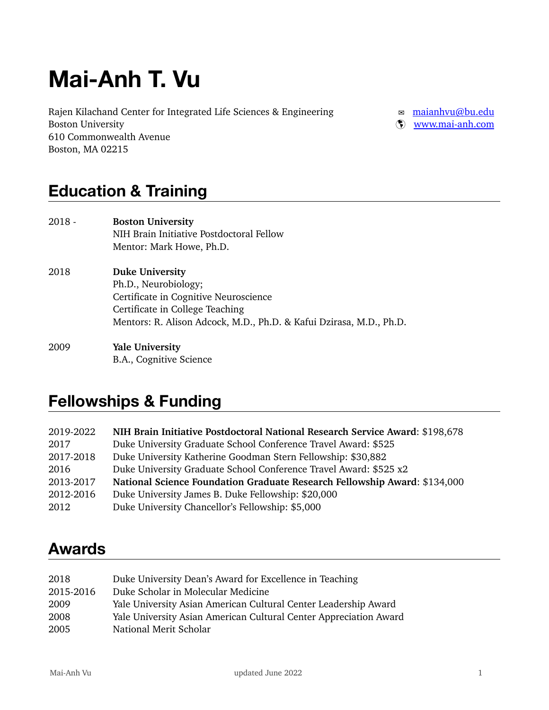# **Mai-Anh T. Vu**

Rajen Kilachand Center for Integrated Life Sciences & Engineering <br>
a [maianhvu@bu.edu](mailto:maianhvu@bu.edu) Boston University  $\infty$  [www.mai-anh.com](http://www.mai-anh.com) 610 Commonwealth Avenue Boston, MA 02215

### **Education & Training**

| $2018 -$ | <b>Boston University</b><br>NIH Brain Initiative Postdoctoral Fellow<br>Mentor: Mark Howe, Ph.D.                                                                                                  |
|----------|---------------------------------------------------------------------------------------------------------------------------------------------------------------------------------------------------|
| 2018     | <b>Duke University</b><br>Ph.D., Neurobiology;<br>Certificate in Cognitive Neuroscience<br>Certificate in College Teaching<br>Mentors: R. Alison Adcock, M.D., Ph.D. & Kafui Dzirasa, M.D., Ph.D. |
| 2009     | <b>Yale University</b>                                                                                                                                                                            |

B.A., Cognitive Science

### **Fellowships & Funding**

| 2019-2022 | NIH Brain Initiative Postdoctoral National Research Service Award: \$198,678 |
|-----------|------------------------------------------------------------------------------|
| 2017      | Duke University Graduate School Conference Travel Award: \$525               |
| 2017-2018 | Duke University Katherine Goodman Stern Fellowship: \$30,882                 |
| 2016      | Duke University Graduate School Conference Travel Award: \$525 x2            |
| 2013-2017 | National Science Foundation Graduate Research Fellowship Award: \$134,000    |
| 2012-2016 | Duke University James B. Duke Fellowship: \$20,000                           |
| 2012      | Duke University Chancellor's Fellowship: \$5,000                             |

### **Awards**

| 2018      | Duke University Dean's Award for Excellence in Teaching           |
|-----------|-------------------------------------------------------------------|
| 2015-2016 | Duke Scholar in Molecular Medicine                                |
| 2009      | Yale University Asian American Cultural Center Leadership Award   |
| 2008      | Yale University Asian American Cultural Center Appreciation Award |
| 2005      | National Merit Scholar                                            |
|           |                                                                   |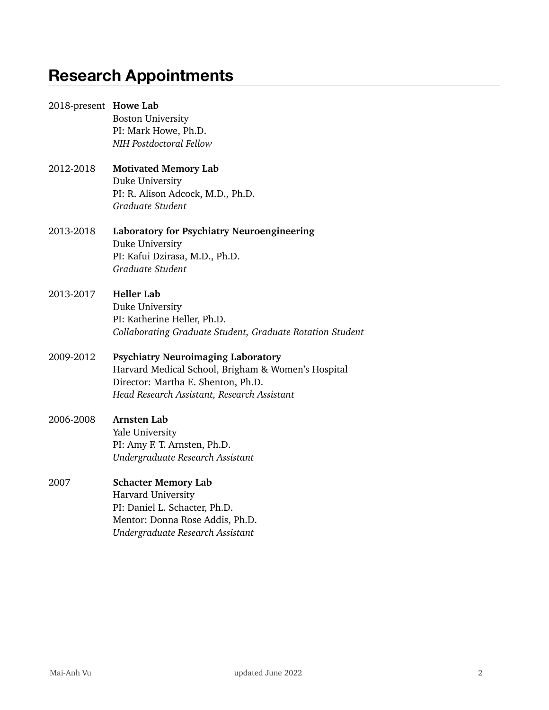### **Research Appointments**

| 2018-present Howe Lab | <b>Boston University</b><br>PI: Mark Howe, Ph.D.<br>NIH Postdoctoral Fellow                                                                                                          |
|-----------------------|--------------------------------------------------------------------------------------------------------------------------------------------------------------------------------------|
| 2012-2018             | <b>Motivated Memory Lab</b><br>Duke University<br>PI: R. Alison Adcock, M.D., Ph.D.<br>Graduate Student                                                                              |
| 2013-2018             | Laboratory for Psychiatry Neuroengineering<br>Duke University<br>PI: Kafui Dzirasa, M.D., Ph.D.<br>Graduate Student                                                                  |
| 2013-2017             | <b>Heller Lab</b><br>Duke University<br>PI: Katherine Heller, Ph.D.<br>Collaborating Graduate Student, Graduate Rotation Student                                                     |
| 2009-2012             | <b>Psychiatry Neuroimaging Laboratory</b><br>Harvard Medical School, Brigham & Women's Hospital<br>Director: Martha E. Shenton, Ph.D.<br>Head Research Assistant, Research Assistant |
| 2006-2008             | <b>Arnsten Lab</b><br>Yale University<br>PI: Amy F. T. Arnsten, Ph.D.<br>Undergraduate Research Assistant                                                                            |
| 2007                  | <b>Schacter Memory Lab</b><br>Harvard University<br>PI: Daniel L. Schacter, Ph.D.<br>Mentor: Donna Rose Addis, Ph.D.<br>Undergraduate Research Assistant                             |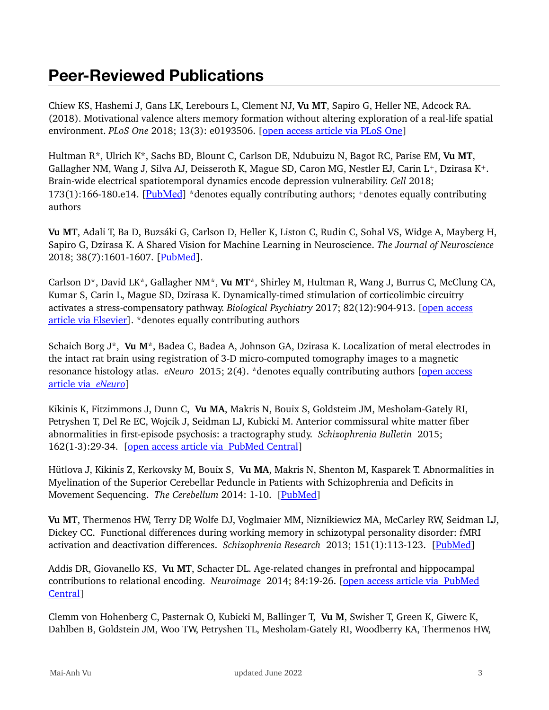### **Peer-Reviewed Publications**

Chiew KS, Hashemi J, Gans LK, Lerebours L, Clement NJ, **Vu MT**, Sapiro G, Heller NE, Adcock RA. (2018). Motivational valence alters memory formation without altering exploration of a real-life spatial environment. *PLoS One* 2018; 13(3): e0193506. [[open access article via PLoS One](http://journals.plos.org/plosone/article?id=10.1371/journal.pone.0193506)]

Hultman R\*, Ulrich K\*, Sachs BD, Blount C, Carlson DE, Ndubuizu N, Bagot RC, Parise EM, **Vu MT**, Gallagher NM, Wang J, Silva AJ, Deisseroth K, Mague SD, Caron MG, Nestler EJ, Carin L+, Dzirasa K+. Brain-wide electrical spatiotemporal dynamics encode depression vulnerability. *Cell* 2018; 173(1):166-180.e14. [[PubMed](https://www.ncbi.nlm.nih.gov/pubmed/29502969)] \*denotes equally contributing authors; +denotes equally contributing authors

**Vu MT**, Adali T, Ba D, Buzsáki G, Carlson D, Heller K, Liston C, Rudin C, Sohal VS, Widge A, Mayberg H, Sapiro G, Dzirasa K. A Shared Vision for Machine Learning in Neuroscience. *The Journal of Neuroscience*  2018; 38(7):1601-1607. [\[PubMed\]](https://www.ncbi.nlm.nih.gov/pubmed/29374138).

Carlson D\*, David LK\*, Gallagher NM\*, **Vu MT**\*, Shirley M, Hultman R, Wang J, Burrus C, McClung CA, Kumar S, Carin L, Mague SD, Dzirasa K. Dynamically-timed stimulation of corticolimbic circuitry activates a stress-compensatory pathway. *Biological Psychiatry* 2017; 82(12):904-913. [\[open access](https://www.sciencedirect.com/science/article/pii/S0006322317316682?via=ihub)  [article via Elsevier\]](https://www.sciencedirect.com/science/article/pii/S0006322317316682?via=ihub). \*denotes equally contributing authors

Schaich Borg J\*, **Vu M**\*, Badea C, Badea A, Johnson GA, Dzirasa K. Localization of metal electrodes in the intact rat brain using registration of 3-D micro-computed tomography images to a magnetic resonance histology atlas. *eNeuro* 2015; 2(4). \*denotes equally contributing authors [\[open access](http://eneuro.org/content/2/4/ENEURO.0017-15.2015)  [article via](http://eneuro.org/content/2/4/ENEURO.0017-15.2015) *eNeuro*]

Kikinis K, Fitzimmons J, Dunn C, **Vu MA**, Makris N, Bouix S, Goldsteim JM, Mesholam-Gately RI, Petryshen T, Del Re EC, Wojcik J, Seidman LJ, Kubicki M. Anterior commissural white matter fiber abnormalities in first-episode psychosis: a tractography study. *Schizophrenia Bulletin* 2015; 162(1-3):29-34. [[open access article via](https://www.ncbi.nlm.nih.gov/pmc/articles/PMC4339098/) PubMed Central]

Hütlova J, Kikinis Z, Kerkovsky M, Bouix S, **Vu MA**, Makris N, Shenton M, Kasparek T. Abnormalities in Myelination of the Superior Cerebellar Peduncle in Patients with Schizophrenia and Deficits in Movement Sequencing. *The Cerebellum* 2014: 1-10. [[PubMed](https://www.ncbi.nlm.nih.gov/pubmed/24550129)]

**Vu MT**, Thermenos HW, Terry DP, Wolfe DJ, Voglmaier MM, Niznikiewicz MA, McCarley RW, Seidman LJ, Dickey CC. Functional differences during working memory in schizotypal personality disorder: fMRI activation and deactivation differences. *Schizophrenia Research* 2013; 151(1):113-123. [\[PubMed\]](https://www.ncbi.nlm.nih.gov/pubmed/24161536)

Addis DR, Giovanello KS, **Vu MT**, Schacter DL. Age-related changes in prefrontal and hippocampal contributions to relational encoding. *Neuroimage* 2014; 84:19-26. [[open access article via](https://www.ncbi.nlm.nih.gov/pmc/articles/PMC3849208/) PubMed [Central](https://www.ncbi.nlm.nih.gov/pmc/articles/PMC3849208/)]

Clemm von Hohenberg C, Pasternak O, Kubicki M, Ballinger T, **Vu M**, Swisher T, Green K, Giwerc K, Dahlben B, Goldstein JM, Woo TW, Petryshen TL, Mesholam-Gately RI, Woodberry KA, Thermenos HW,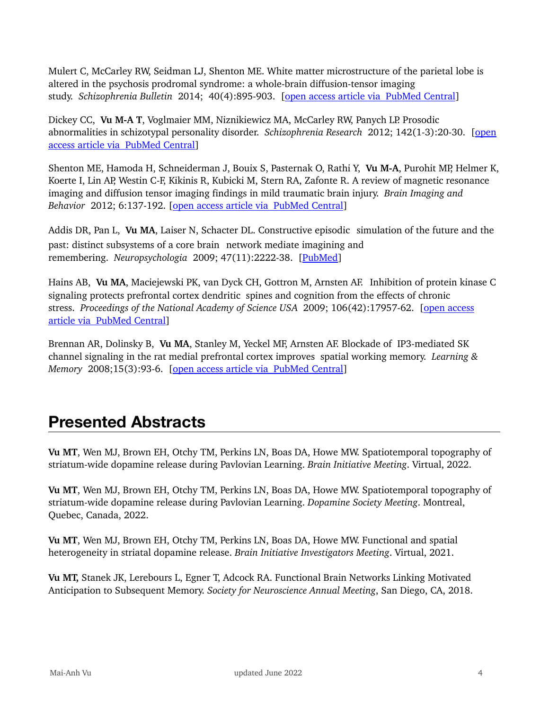Mulert C, McCarley RW, Seidman LJ, Shenton ME. White matter microstructure of the parietal lobe is altered in the psychosis prodromal syndrome: a whole-brain diffusion-tensor imaging study. *Schizophrenia Bulletin* 2014; 40(4):895-903. [[open access article via](https://www.ncbi.nlm.nih.gov/pmc/articles/PMC4059424/) PubMed Central]

Dickey CC, **Vu M-A T**, Voglmaier MM, Niznikiewicz MA, McCarley RW, Panych LP. Prosodic abnormalities in schizotypal personality disorder. *Schizophrenia Research* 2012; 142(1-3):20-30. [\[open](https://www.ncbi.nlm.nih.gov/pmc/articles/PMC3502641/)  [access article via](https://www.ncbi.nlm.nih.gov/pmc/articles/PMC3502641/) PubMed Central]

Shenton ME, Hamoda H, Schneiderman J, Bouix S, Pasternak O, Rathi Y, **Vu M-A**, Purohit MP, Helmer K, Koerte I, Lin AP, Westin C-F, Kikinis R, Kubicki M, Stern RA, Zafonte R. A review of magnetic resonance imaging and diffusion tensor imaging findings in mild traumatic brain injury. *Brain Imaging and Behavior* 2012; 6:137-192. [[open access article via](https://www.ncbi.nlm.nih.gov/pmc/articles/PMC3803157/) PubMed Central]

Addis DR, Pan L, **Vu MA**, Laiser N, Schacter DL. Constructive episodic simulation of the future and the past: distinct subsystems of a core brain network mediate imagining and remembering. *Neuropsychologia* 2009; 47(11):2222-38. [\[PubMed\]](https://www.ncbi.nlm.nih.gov/pubmed/19041331)

Hains AB, **Vu MA**, Maciejewski PK, van Dyck CH, Gottron M, Arnsten AF. Inhibition of protein kinase C signaling protects prefrontal cortex dendritic spines and cognition from the effects of chronic stress. *Proceedings of the National Academy of Science USA* 2009; 106(42):17957-62. [[open access](https://www.ncbi.nlm.nih.gov/pmc/articles/pmid/19805148/)  article via [PubMed Central\]](https://www.ncbi.nlm.nih.gov/pmc/articles/pmid/19805148/)

Brennan AR, Dolinsky B, **Vu MA**, Stanley M, Yeckel MF, Arnsten AF. Blockade of IP3-mediated SK channel signaling in the rat medial prefrontal cortex improves spatial working memory. *Learning & Memory* 2008;15(3):93-6. [[open access article via](https://www.ncbi.nlm.nih.gov/pmc/articles/PMC2275660/) PubMed Central]

### **Presented Abstracts**

**Vu MT**, Wen MJ, Brown EH, Otchy TM, Perkins LN, Boas DA, Howe MW. Spatiotemporal topography of striatum-wide dopamine release during Pavlovian Learning. *Brain Initiative Meeting*. Virtual, 2022.

**Vu MT**, Wen MJ, Brown EH, Otchy TM, Perkins LN, Boas DA, Howe MW. Spatiotemporal topography of striatum-wide dopamine release during Pavlovian Learning. *Dopamine Society Meeting*. Montreal, Quebec, Canada, 2022.

**Vu MT**, Wen MJ, Brown EH, Otchy TM, Perkins LN, Boas DA, Howe MW. Functional and spatial heterogeneity in striatal dopamine release. *Brain Initiative Investigators Meeting*. Virtual, 2021.

**Vu MT,** Stanek JK, Lerebours L, Egner T, Adcock RA. Functional Brain Networks Linking Motivated Anticipation to Subsequent Memory. *Society for Neuroscience Annual Meeting*, San Diego, CA, 2018.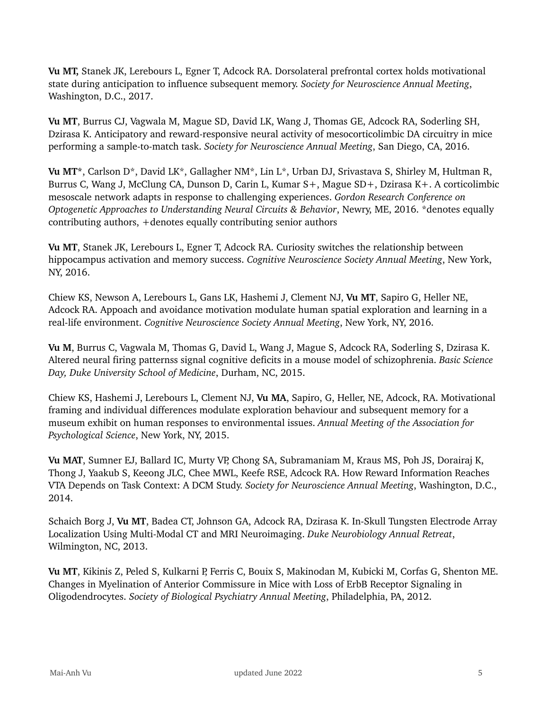**Vu MT,** Stanek JK, Lerebours L, Egner T, Adcock RA. Dorsolateral prefrontal cortex holds motivational state during anticipation to influence subsequent memory. *Society for Neuroscience Annual Meeting*, Washington, D.C., 2017.

**Vu MT**, Burrus CJ, Vagwala M, Mague SD, David LK, Wang J, Thomas GE, Adcock RA, Soderling SH, Dzirasa K. Anticipatory and reward-responsive neural activity of mesocorticolimbic DA circuitry in mice performing a sample-to-match task. *Society for Neuroscience Annual Meeting*, San Diego, CA, 2016.

**Vu MT\***, Carlson D\*, David LK\*, Gallagher NM\*, Lin L\*, Urban DJ, Srivastava S, Shirley M, Hultman R, Burrus C, Wang J, McClung CA, Dunson D, Carin L, Kumar S+, Mague SD+, Dzirasa K+. A corticolimbic mesoscale network adapts in response to challenging experiences. *Gordon Research Conference on Optogenetic Approaches to Understanding Neural Circuits & Behavior*, Newry, ME, 2016. \*denotes equally contributing authors, +denotes equally contributing senior authors

**Vu MT**, Stanek JK, Lerebours L, Egner T, Adcock RA. Curiosity switches the relationship between hippocampus activation and memory success. *Cognitive Neuroscience Society Annual Meeting*, New York, NY, 2016.

Chiew KS, Newson A, Lerebours L, Gans LK, Hashemi J, Clement NJ, **Vu MT**, Sapiro G, Heller NE, Adcock RA. Appoach and avoidance motivation modulate human spatial exploration and learning in a real-life environment. *Cognitive Neuroscience Society Annual Meeting*, New York, NY, 2016.

**Vu M**, Burrus C, Vagwala M, Thomas G, David L, Wang J, Mague S, Adcock RA, Soderling S, Dzirasa K. Altered neural firing patternss signal cognitive deficits in a mouse model of schizophrenia. *Basic Science Day, Duke University School of Medicine*, Durham, NC, 2015.

Chiew KS, Hashemi J, Lerebours L, Clement NJ, **Vu MA**, Sapiro, G, Heller, NE, Adcock, RA. Motivational framing and individual differences modulate exploration behaviour and subsequent memory for a museum exhibit on human responses to environmental issues. *Annual Meeting of the Association for Psychological Science*, New York, NY, 2015.

**Vu MAT**, Sumner EJ, Ballard IC, Murty VP, Chong SA, Subramaniam M, Kraus MS, Poh JS, Dorairaj K, Thong J, Yaakub S, Keeong JLC, Chee MWL, Keefe RSE, Adcock RA. How Reward Information Reaches VTA Depends on Task Context: A DCM Study. *Society for Neuroscience Annual Meeting*, Washington, D.C., 2014.

Schaich Borg J, **Vu MT**, Badea CT, Johnson GA, Adcock RA, Dzirasa K. In-Skull Tungsten Electrode Array Localization Using Multi-Modal CT and MRI Neuroimaging. *Duke Neurobiology Annual Retreat*, Wilmington, NC, 2013.

**Vu MT**, Kikinis Z, Peled S, Kulkarni P, Ferris C, Bouix S, Makinodan M, Kubicki M, Corfas G, Shenton ME. Changes in Myelination of Anterior Commissure in Mice with Loss of ErbB Receptor Signaling in Oligodendrocytes. *Society of Biological Psychiatry Annual Meeting*, Philadelphia, PA, 2012.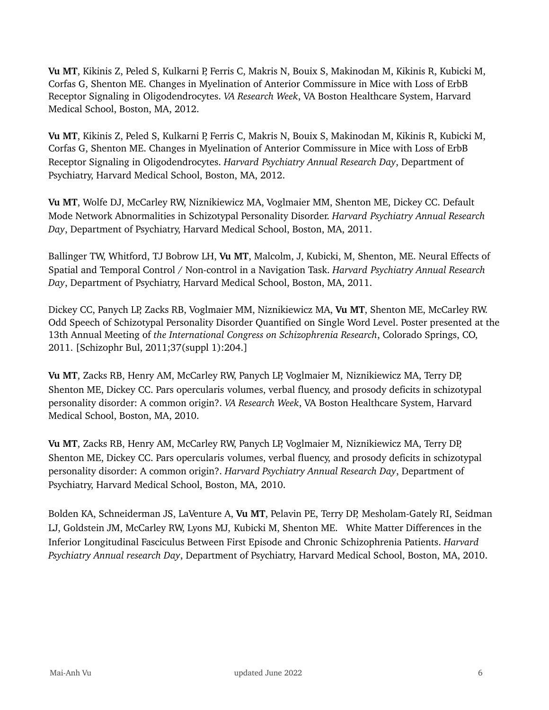**Vu MT**, Kikinis Z, Peled S, Kulkarni P, Ferris C, Makris N, Bouix S, Makinodan M, Kikinis R, Kubicki M, Corfas G, Shenton ME. Changes in Myelination of Anterior Commissure in Mice with Loss of ErbB Receptor Signaling in Oligodendrocytes. *VA Research Week*, VA Boston Healthcare System, Harvard Medical School, Boston, MA, 2012.

**Vu MT**, Kikinis Z, Peled S, Kulkarni P, Ferris C, Makris N, Bouix S, Makinodan M, Kikinis R, Kubicki M, Corfas G, Shenton ME. Changes in Myelination of Anterior Commissure in Mice with Loss of ErbB Receptor Signaling in Oligodendrocytes. *Harvard Psychiatry Annual Research Day*, Department of Psychiatry, Harvard Medical School, Boston, MA, 2012.

**Vu MT**, Wolfe DJ, McCarley RW, Niznikiewicz MA, Voglmaier MM, Shenton ME, Dickey CC. Default Mode Network Abnormalities in Schizotypal Personality Disorder. *Harvard Psychiatry Annual Research Day*, Department of Psychiatry, Harvard Medical School, Boston, MA, 2011.

Ballinger TW, Whitford, TJ Bobrow LH, **Vu MT**, Malcolm, J, Kubicki, M, Shenton, ME. Neural Effects of Spatial and Temporal Control / Non-control in a Navigation Task. *Harvard Psychiatry Annual Research Day*, Department of Psychiatry, Harvard Medical School, Boston, MA, 2011.

Dickey CC, Panych LP, Zacks RB, Voglmaier MM, Niznikiewicz MA, **Vu MT**, Shenton ME, McCarley RW. Odd Speech of Schizotypal Personality Disorder Quantified on Single Word Level. Poster presented at the 13th Annual Meeting of *the International Congress on Schizophrenia Research*, Colorado Springs, CO, 2011. [Schizophr Bul, 2011;37(suppl 1):204.]

**Vu MT**, Zacks RB, Henry AM, McCarley RW, Panych LP, Voglmaier M, Niznikiewicz MA, Terry DP, Shenton ME, Dickey CC. Pars opercularis volumes, verbal fluency, and prosody deficits in schizotypal personality disorder: A common origin?. *VA Research Week*, VA Boston Healthcare System, Harvard Medical School, Boston, MA, 2010.

**Vu MT**, Zacks RB, Henry AM, McCarley RW, Panych LP, Voglmaier M, Niznikiewicz MA, Terry DP, Shenton ME, Dickey CC. Pars opercularis volumes, verbal fluency, and prosody deficits in schizotypal personality disorder: A common origin?. *Harvard Psychiatry Annual Research Day*, Department of Psychiatry, Harvard Medical School, Boston, MA, 2010.

Bolden KA, Schneiderman JS, LaVenture A, **Vu MT**, Pelavin PE, Terry DP, Mesholam-Gately RI, Seidman LJ, Goldstein JM, McCarley RW, Lyons MJ, Kubicki M, Shenton ME. White Matter Differences in the Inferior Longitudinal Fasciculus Between First Episode and Chronic Schizophrenia Patients. *Harvard Psychiatry Annual research Day*, Department of Psychiatry, Harvard Medical School, Boston, MA, 2010.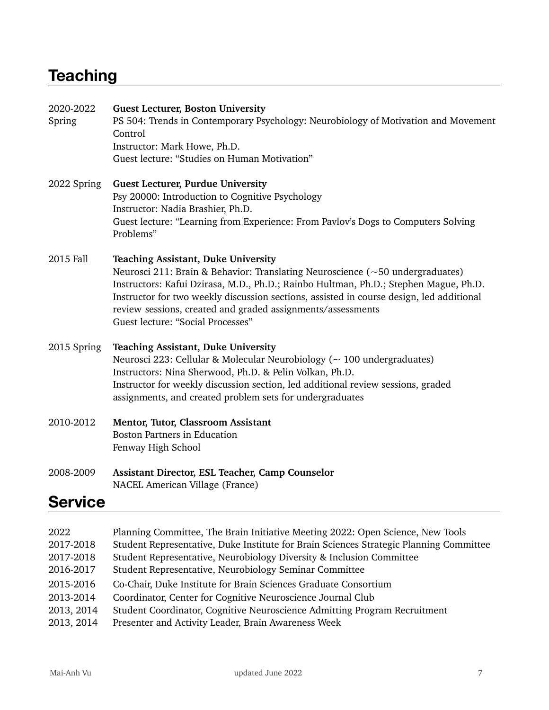### **Teaching**

| 2020-2022<br>Spring | <b>Guest Lecturer, Boston University</b><br>PS 504: Trends in Contemporary Psychology: Neurobiology of Motivation and Movement<br>Control<br>Instructor: Mark Howe, Ph.D.<br>Guest lecture: "Studies on Human Motivation"                                                                                                                                                                                                  |
|---------------------|----------------------------------------------------------------------------------------------------------------------------------------------------------------------------------------------------------------------------------------------------------------------------------------------------------------------------------------------------------------------------------------------------------------------------|
| 2022 Spring         | <b>Guest Lecturer, Purdue University</b><br>Psy 20000: Introduction to Cognitive Psychology<br>Instructor: Nadia Brashier, Ph.D.<br>Guest lecture: "Learning from Experience: From Pavlov's Dogs to Computers Solving<br>Problems"                                                                                                                                                                                         |
| 2015 Fall           | <b>Teaching Assistant, Duke University</b><br>Neurosci 211: Brain & Behavior: Translating Neuroscience ( $\sim$ 50 undergraduates)<br>Instructors: Kafui Dzirasa, M.D., Ph.D.; Rainbo Hultman, Ph.D.; Stephen Mague, Ph.D.<br>Instructor for two weekly discussion sections, assisted in course design, led additional<br>review sessions, created and graded assignments/assessments<br>Guest lecture: "Social Processes" |
| 2015 Spring         | <b>Teaching Assistant, Duke University</b><br>Neurosci 223: Cellular & Molecular Neurobiology ( $\sim$ 100 undergraduates)<br>Instructors: Nina Sherwood, Ph.D. & Pelin Volkan, Ph.D.<br>Instructor for weekly discussion section, led additional review sessions, graded<br>assignments, and created problem sets for undergraduates                                                                                      |
| 2010-2012           | Mentor, Tutor, Classroom Assistant<br><b>Boston Partners in Education</b><br>Fenway High School                                                                                                                                                                                                                                                                                                                            |
| 2008-2009           | Assistant Director, ESL Teacher, Camp Counselor<br>NACEL American Village (France)                                                                                                                                                                                                                                                                                                                                         |
| <b>Service</b>      |                                                                                                                                                                                                                                                                                                                                                                                                                            |

| 2022       | Planning Committee, The Brain Initiative Meeting 2022: Open Science, New Tools         |
|------------|----------------------------------------------------------------------------------------|
| 2017-2018  | Student Representative, Duke Institute for Brain Sciences Strategic Planning Committee |
| 2017-2018  | Student Representative, Neurobiology Diversity & Inclusion Committee                   |
| 2016-2017  | Student Representative, Neurobiology Seminar Committee                                 |
| 2015-2016  | Co-Chair, Duke Institute for Brain Sciences Graduate Consortium                        |
| 2013-2014  | Coordinator, Center for Cognitive Neuroscience Journal Club                            |
| 2013, 2014 | Student Coordinator, Cognitive Neuroscience Admitting Program Recruitment              |
| 2013, 2014 | Presenter and Activity Leader, Brain Awareness Week                                    |
|            |                                                                                        |